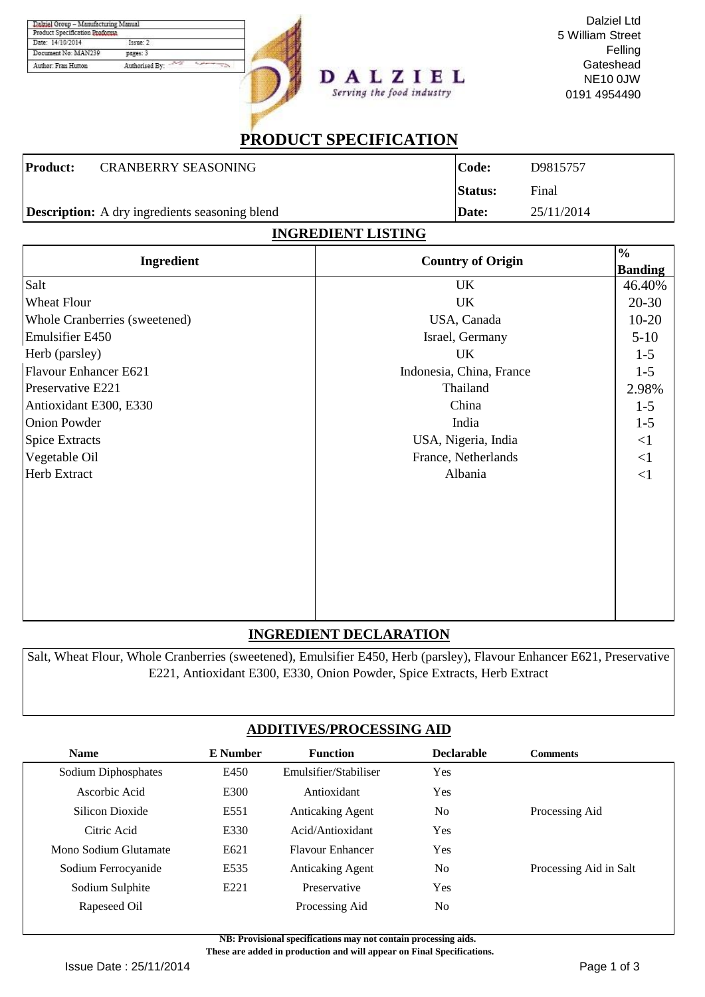| Product Specification Proforma |                |
|--------------------------------|----------------|
| Date: 14/10/2014               | Tasmer 2       |
| Document No: MAN239            | pages: 3       |
| Author: Fran Hutton            | Authorised By: |



Dalziel Ltd 5 William Street Felling **Gateshead** NE10 0JW 0191 4954490

# **PRODUCT SPECIFICATION**

Serving the food industry

|                 | <b>Description:</b> A dry ingredients seasoning blend<br>INADEDIENT I IGTINA | <b>Date:</b>   | 25/11/2014 |
|-----------------|------------------------------------------------------------------------------|----------------|------------|
|                 |                                                                              |                |            |
|                 |                                                                              | <b>Status:</b> | Final      |
| <b>Product:</b> | <b>CRANBERRY SEASONING</b>                                                   | Code:          | D9815757   |

| INGREDIENT LISTING            |                          |                                 |  |  |  |  |
|-------------------------------|--------------------------|---------------------------------|--|--|--|--|
| Ingredient                    | <b>Country of Origin</b> | $\frac{0}{0}$<br><b>Banding</b> |  |  |  |  |
| Salt                          | UK                       | 46.40%                          |  |  |  |  |
| Wheat Flour                   | UK                       | $20 - 30$                       |  |  |  |  |
| Whole Cranberries (sweetened) | USA, Canada              | $10-20$                         |  |  |  |  |
| <b>Emulsifier E450</b>        | Israel, Germany          | $5-10$                          |  |  |  |  |
| Herb (parsley)                | UK                       | $1 - 5$                         |  |  |  |  |
| <b>Flavour Enhancer E621</b>  | Indonesia, China, France | $1 - 5$                         |  |  |  |  |
| Preservative E221             | Thailand                 | 2.98%                           |  |  |  |  |
| Antioxidant E300, E330        | China                    | $1 - 5$                         |  |  |  |  |
| <b>Onion Powder</b>           | India                    | $1 - 5$                         |  |  |  |  |
| <b>Spice Extracts</b>         | USA, Nigeria, India      | $\leq$ 1                        |  |  |  |  |
| Vegetable Oil                 | France, Netherlands      | <1                              |  |  |  |  |
| <b>Herb Extract</b>           | Albania                  | <1                              |  |  |  |  |
|                               |                          |                                 |  |  |  |  |
|                               |                          |                                 |  |  |  |  |
|                               |                          |                                 |  |  |  |  |
|                               |                          |                                 |  |  |  |  |
|                               |                          |                                 |  |  |  |  |

### **INGREDIENT DECLARATION**

Salt, Wheat Flour, Whole Cranberries (sweetened), Emulsifier E450, Herb (parsley), Flavour Enhancer E621, Preservative E221, Antioxidant E300, E330, Onion Powder, Spice Extracts, Herb Extract

## **ADDITIVES/PROCESSING AID**

| <b>Name</b>           | <b>E</b> Number | <b>Function</b>         | <b>Declarable</b> | <b>Comments</b>        |
|-----------------------|-----------------|-------------------------|-------------------|------------------------|
| Sodium Diphosphates   | E450            | Emulsifier/Stabiliser   | Yes               |                        |
| Ascorbic Acid         | E300            | Antioxidant             | Yes               |                        |
| Silicon Dioxide       | E551            | <b>Anticaking Agent</b> | N <sub>o</sub>    | Processing Aid         |
| Citric Acid           | E330            | Acid/Antioxidant        | Yes               |                        |
| Mono Sodium Glutamate | E621            | <b>Flavour Enhancer</b> | <b>Yes</b>        |                        |
| Sodium Ferrocyanide   | E535            | <b>Anticaking Agent</b> | N <sub>0</sub>    | Processing Aid in Salt |
| Sodium Sulphite       | E221            | Preservative            | Yes               |                        |
| Rapeseed Oil          |                 | Processing Aid          | N <sub>0</sub>    |                        |

**NB: Provisional specifications may not contain processing aids.** 

 **These are added in production and will appear on Final Specifications.**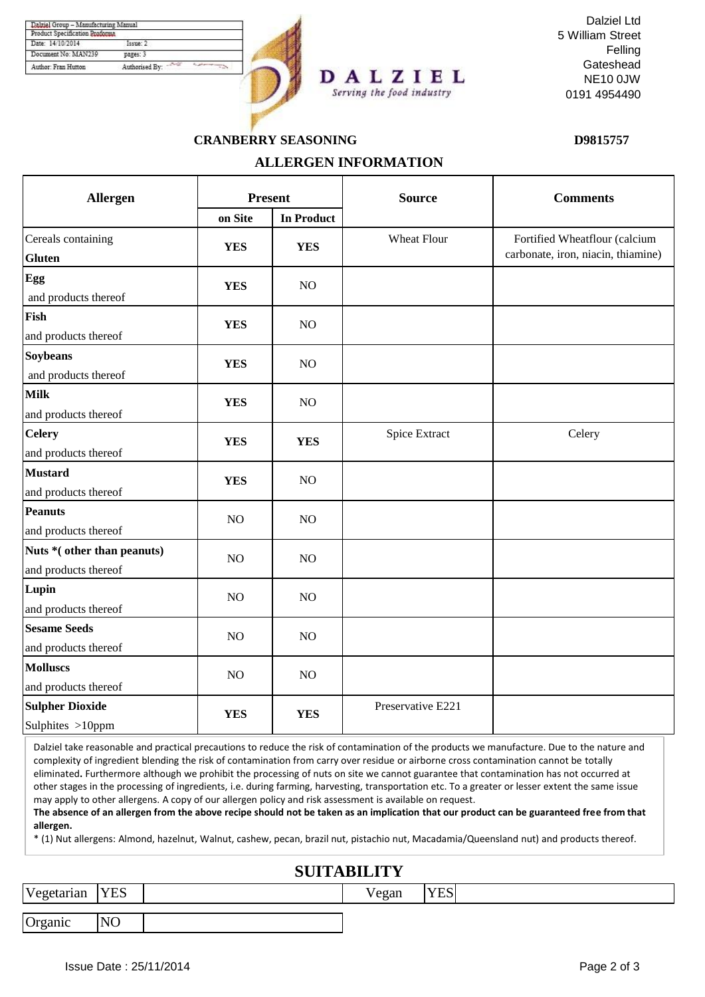| Product Specification Proforma |                |
|--------------------------------|----------------|
| Date: 14/10/2014               | Textter 2      |
| Document No: MAN239            | pages: 3       |
| Author: Fran Hutton            | Authorised By: |



Dalziel Ltd 5 William Street Felling **Gateshead** NE10 0JW 0191 4954490

#### **CRANBERRY SEASONING**

**D9815757**

# **ALLERGEN INFORMATION**

| Allergen                                            |                | <b>Present</b>    | <b>Source</b>      | <b>Comments</b>                                                     |  |
|-----------------------------------------------------|----------------|-------------------|--------------------|---------------------------------------------------------------------|--|
|                                                     | on Site        | <b>In Product</b> |                    |                                                                     |  |
| Cereals containing<br><b>Gluten</b>                 | <b>YES</b>     | <b>YES</b>        | <b>Wheat Flour</b> | Fortified Wheatflour (calcium<br>carbonate, iron, niacin, thiamine) |  |
| Egg<br>and products thereof                         | <b>YES</b>     | NO                |                    |                                                                     |  |
| Fish<br>and products thereof                        | <b>YES</b>     | NO                |                    |                                                                     |  |
| <b>Soybeans</b><br>and products thereof             | <b>YES</b>     | NO                |                    |                                                                     |  |
| <b>Milk</b><br>and products thereof                 | <b>YES</b>     | NO                |                    |                                                                     |  |
| <b>Celery</b><br>and products thereof               | <b>YES</b>     | <b>YES</b>        | Spice Extract      | Celery                                                              |  |
| <b>Mustard</b><br>and products thereof              | <b>YES</b>     | NO                |                    |                                                                     |  |
| <b>Peanuts</b><br>and products thereof              | NO             | NO                |                    |                                                                     |  |
| Nuts * (other than peanuts)<br>and products thereof | NO             | NO                |                    |                                                                     |  |
| Lupin<br>and products thereof                       | NO             | NO                |                    |                                                                     |  |
| <b>Sesame Seeds</b><br>and products thereof         | NO             | NO                |                    |                                                                     |  |
| <b>Molluscs</b><br>and products thereof             | N <sub>O</sub> | N <sub>O</sub>    |                    |                                                                     |  |
| <b>Sulpher Dioxide</b><br>Sulphites >10ppm          | <b>YES</b>     | <b>YES</b>        | Preservative E221  |                                                                     |  |

Dalziel take reasonable and practical precautions to reduce the risk of contamination of the products we manufacture. Due to the nature and complexity of ingredient blending the risk of contamination from carry over residue or airborne cross contamination cannot be totally eliminated**.** Furthermore although we prohibit the processing of nuts on site we cannot guarantee that contamination has not occurred at other stages in the processing of ingredients, i.e. during farming, harvesting, transportation etc. To a greater or lesser extent the same issue may apply to other allergens. A copy of our allergen policy and risk assessment is available on request.

**The absence of an allergen from the above recipe should not be taken as an implication that our product can be guaranteed free from that allergen.**

\* (1) Nut allergens: Almond, hazelnut, Walnut, cashew, pecan, brazil nut, pistachio nut, Macadamia/Queensland nut) and products thereof.

### **SUITABILITY**

| l v<br>etarian | <b>YES</b>     | $\alpha$<br>հատ | T/TQ<br>$\cdot$<br>1 L N |  |
|----------------|----------------|-----------------|--------------------------|--|
|                |                |                 |                          |  |
| IN<br>Organic  | N <sub>O</sub> |                 |                          |  |